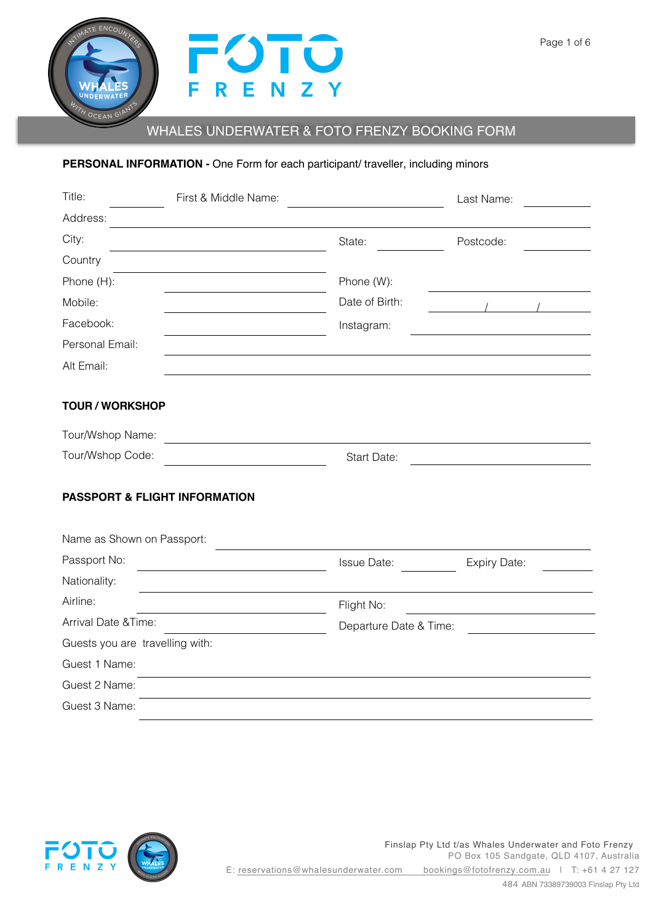

# WHALES UNDERWATER & FOTO FRENZY BOOKING FORM

# **PERSONAL INFORMATION -** One Form for each participant/ traveller, including minors

| Title:                                   | First & Middle Name:                              |                        | Last Name:   |  |  |
|------------------------------------------|---------------------------------------------------|------------------------|--------------|--|--|
| Address:                                 |                                                   |                        |              |  |  |
| City:                                    |                                                   | State:                 | Postcode:    |  |  |
| Country                                  |                                                   |                        |              |  |  |
| Phone (H):                               |                                                   | Phone (W):             |              |  |  |
| Mobile:                                  |                                                   | Date of Birth:         |              |  |  |
| Facebook:                                |                                                   | Instagram:             |              |  |  |
| Personal Email:                          |                                                   |                        |              |  |  |
| Alt Email:                               |                                                   |                        |              |  |  |
| <b>TOUR / WORKSHOP</b>                   |                                                   |                        |              |  |  |
| Tour/Wshop Name:                         | <u> 1980 - Johann Barbara, martxa alemaniar a</u> |                        |              |  |  |
| Tour/Wshop Code:                         |                                                   | Start Date:            |              |  |  |
| <b>PASSPORT &amp; FLIGHT INFORMATION</b> |                                                   |                        |              |  |  |
| Name as Shown on Passport:               |                                                   |                        |              |  |  |
| Passport No:                             |                                                   | <b>Issue Date:</b>     | Expiry Date: |  |  |
| Nationality:                             |                                                   |                        |              |  |  |
| Airline:                                 |                                                   | Flight No:             |              |  |  |
| Arrival Date & Time:                     |                                                   | Departure Date & Time: |              |  |  |
| Guests you are travelling with:          |                                                   |                        |              |  |  |
| Guest 1 Name:                            |                                                   |                        |              |  |  |
| Guest 2 Name:                            |                                                   |                        |              |  |  |
| Guest 3 Name:                            |                                                   |                        |              |  |  |



Finslap Pty Ltd t/as Whales Underwater and Foto Frenzy PO Box 105 Sandgate, QLD 4107, Australia E: reservations@whalesunderwater.com bookings@fotofrenzy.com.au | T: +61 4 27 127 484 ABN 73389739003 Finslap Pty Ltd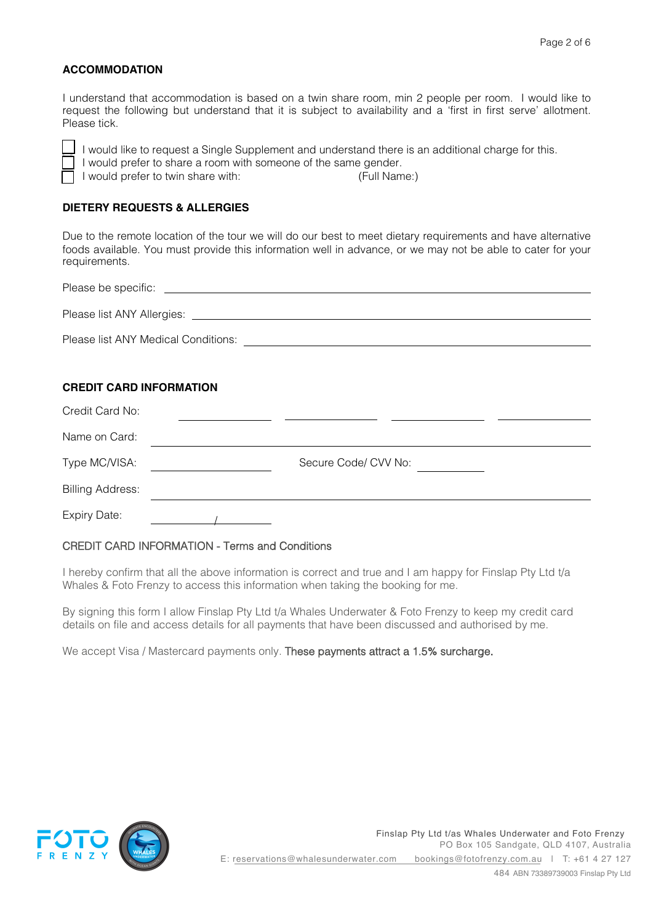## **ACCOMMODATION**

I understand that accommodation is based on a twin share room, min 2 people per room. I would like to request the following but understand that it is subject to availability and a 'first in first serve' allotment. Please tick.



I would like to request a Single Supplement and understand there is an additional charge for this. I would prefer to share a room with someone of the same gender. I would prefer to twin share with: (Full Name:)

## **DIETERY REQUESTS & ALLERGIES**

Due to the remote location of the tour we will do our best to meet dietary requirements and have alternative foods available. You must provide this information well in advance, or we may not be able to cater for your requirements.

| Please be specific:                 |  |
|-------------------------------------|--|
| Please list ANY Allergies:          |  |
| Please list ANY Medical Conditions: |  |

## **CREDIT CARD INFORMATION**

| Credit Card No:         |                      |  |
|-------------------------|----------------------|--|
| Name on Card:           |                      |  |
| Type MC/VISA:           | Secure Code/ CVV No: |  |
| <b>Billing Address:</b> |                      |  |
| Expiry Date:            |                      |  |

## CREDIT CARD INFORMATION - Terms and Conditions

I hereby confirm that all the above information is correct and true and I am happy for Finslap Pty Ltd t/a Whales & Foto Frenzy to access this information when taking the booking for me.

By signing this form I allow Finslap Pty Ltd t/a Whales Underwater & Foto Frenzy to keep my credit card details on file and access details for all payments that have been discussed and authorised by me.

We accept Visa / Mastercard payments only. These payments attract a 1.5% surcharge.

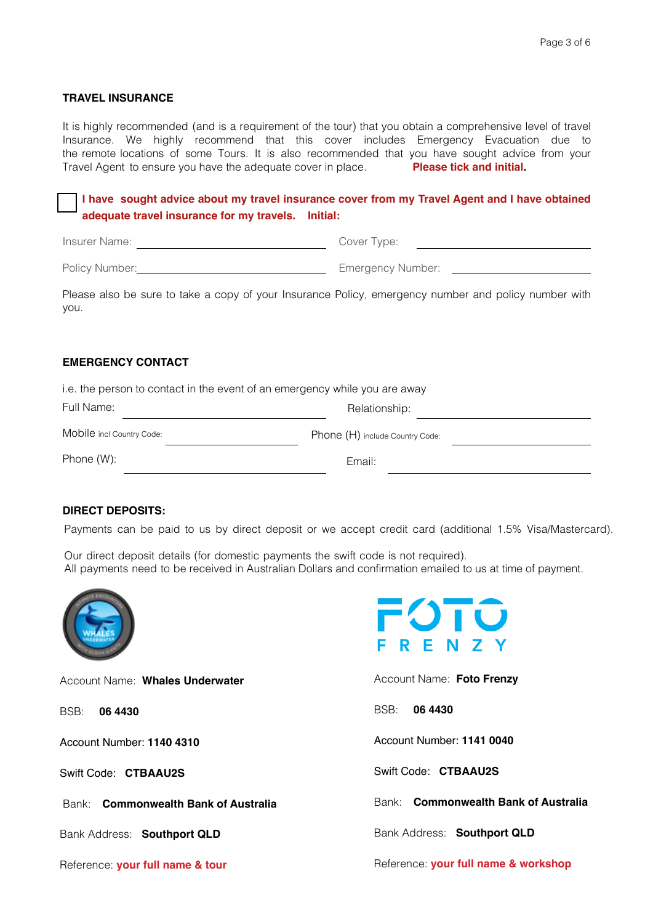## **TRAVEL INSURANCE**

It is highly recommended (and is a requirement of the tour) that you obtain a comprehensive level of travel Insurance. We highly recommend that this cover includes Emergency Evacuation due to the remote locations of some Tours. It is also recommended that you have sought advice from your Travel Agent to ensure you have the adequate cover in place. **Please tick and initial.**

# **I have sought advice about my travel insurance cover from my Travel Agent and I have obtained adequate travel insurance for my travels. Initial:**

Insurer Name: Cover Type:

Policy Number: Number: Number: 2010 11: Emergency Number: 2010 12: 2010 12: 2010 12: 2010 12: 2010 12: 2010 12: 2010 12: 2010 12: 2010 12: 2010 12: 2010 12: 2010 12: 2010 12: 2010 12: 2010 12: 2010 12: 2010 12: 2010 12: 20

Please also be sure to take a copy of your Insurance Policy, emergency number and policy number with you.

## **EMERGENCY CONTACT**

i.e. the person to contact in the event of an emergency while you are away Relationship: Phone (H) include Country Code: Email: Full Name: Mobile incl Country Code: Phone (W):

## **DIRECT DEPOSITS:**

Payments can be paid to us by direct deposit or we accept credit card (additional 1.5% Visa/Mastercard).

Our direct deposit details (for domestic payments the swift code is not required). All payments need to be received in Australian Dollars and confirmation emailed to us at time of payment.



Account Name: **Whales Underwater**

BSB: **06 4430**

Account Number: **1140 4310** 

Swift Code: **CTBAAU2S**

Bank: **Commonwealth Bank of Australia** 

Bank Address: **Southport QLD**

Reference: **your full name & tour**



Account Name: **Foto Frenzy**

BSB: **06 4430**

Account Number: **1141 0040**

Swift Code: **CTBAAU2S**

Bank: **Commonwealth Bank of Australia** 

Bank Address: **Southport QLD**

Reference: **your full name & workshop**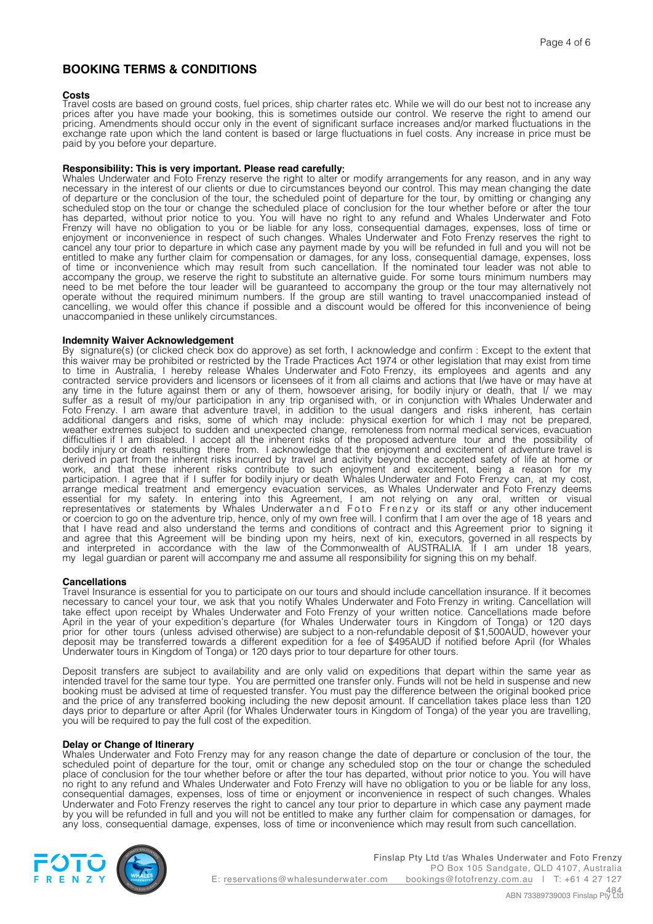# **BOOKING TERMS & CONDITIONS**

### **Costs**

Travel costs are based on ground costs, fuel prices, ship charter rates etc. While we will do our best not to increase any prices after you have made your booking, this is sometimes outside our control. We reserve the right to amend our pricing. Amendments should occur only in the event of significant surface increases and/or marked fluctuations in the exchange rate upon which the land content is based or large fluctuations in fuel costs. Any increase in price must be paid by you before your departure.

### **Responsibility: This is very important. Please read carefully**:

Whales Underwater and Foto Frenzy reserve the right to alter or modify arrangements for any reason, and in any way necessary in the interest of our clients or due to circumstances beyond our control. This may mean changing the date of departure or the conclusion of the tour, the scheduled point of departure for the tour, by omitting or changing any scheduled stop on the tour or change the scheduled place of conclusion for the tour whether before or after the tour has departed, without prior notice to you. You will have no right to any refund and Whales Underwater and Foto Frenzy will have no obligation to you or be liable for any loss, consequential damages, expenses, loss of time or enjoyment or inconvenience in respect of such changes. Whales Underwater and Foto Frenzy reserves the right to cancel any tour prior to departure in which case any payment made by you will be refunded in full and you will not be entitled to make any further claim for compensation or damages, for any loss, consequential damage, expenses, loss of time or inconvenience which may result from such cancellation. If the nominated tour leader was not able to accompany the group, we reserve the right to substitute an alternative guide. For some tours minimum numbers may need to be met before the tour leader will be guaranteed to accompany the group or the tour may alternatively not operate without the required minimum numbers. If the group are still wanting to travel unaccompanied instead of cancelling, we would offer this chance if possible and a discount would be offered for this inconvenience of being unaccompanied in these unlikely circumstances.

#### **Indemnity Waiver Acknowledgement**

By signature(s) (or clicked check box do approve) as set forth, I acknowledge and confirm : Except to the extent that this waiver may be prohibited or restricted by the Trade Practices Act 1974 or other legislation that may exist from time to time in Australia, I hereby release Whales Underwater and Foto Frenzy, its employees and agents and any contracted service providers and licensors or licensees of it from all claims and actions that I/we have or may have at any time in the future against them or any of them, howsoever arising, for bodily injury or death, that I/ we may suffer as a result of my/our participation in any trip organised with, or in conjunction with Whales Underwater and Foto Frenzy. I am aware that adventure travel, in addition to the usual dangers and risks inherent, has certain additional dangers and risks, some of which may include: physical exertion for which I may not be prepared, weather extremes subject to sudden and unexpected change, remoteness from normal medical services, evacuation difficulties if I am disabled. I accept all the inherent risks of the proposed adventure tour and the possibility of bodily injury or death resulting there from. I acknowledge that the enjoyment and excitement of adventure travel is derived in part from the inherent risks incurred by travel and activity beyond the accepted safety of life at home or work, and that these inherent risks contribute to such enjoyment and excitement, being a reason for my participation. I agree that if I suffer for bodily injury or death Whales Underwater and Foto Frenzy can, at my cost, arrange medical treatment and emergency evacuation services, as Whales Underwater and Foto Frenzy deems essential for my safety. In entering into this Agreement, I am not relying on any oral, written or visual representatives or statements by Whales Underwater and Foto Frenzy or its staff or any other inducement or coercion to go on the adventure trip, hence, only of my own free will. I confirm that I am over the age of 18 years and that I have read and also understand the terms and conditions of contract and this Agreement prior to signing it and agree that this Agreement will be binding upon my heirs, next of kin, executors, governed in all respects by and interpreted in accordance with the law of the Commonwealth of AUSTRALIA. If I am under 18 years, my legal guardian or parent will accompany me and assume all responsibility for signing this on my behalf.

### **Cancellations**

Travel Insurance is essential for you to participate on our tours and should include cancellation insurance. If it becomes necessary to cancel your tour, we ask that you notify Whales Underwater and Foto Frenzy in writing. Cancellation will take effect upon receipt by Whales Underwater and Foto Frenzy of your written notice. Cancellations made before April in the year of your expedition's departure (for Whales Underwater tours in Kingdom of Tonga) or 120 days prior for other tours (unless advised otherwise) are subject to a non-refundable deposit of \$1,500AUD, however your deposit may be transferred towards a different expedition for a fee of \$495AUD if notified before April (for Whales Underwater tours in Kingdom of Tonga) or 120 days prior to tour departure for other tours.

Deposit transfers are subject to availability and are only valid on expeditions that depart within the same year as intended travel for the same tour type. You are permitted one transfer only. Funds will not be held in suspense and new booking must be advised at time of requested transfer. You must pay the difference between the original booked price and the price of any transferred booking including the new deposit amount. If cancellation takes place less than 120 days prior to departure or after April (for Whales Underwater tours in Kingdom of Tonga) of the year you are travelling, you will be required to pay the full cost of the expedition.

#### **Delay or Change of Itinerary**

Whales Underwater and Foto Frenzy may for any reason change the date of departure or conclusion of the tour, the scheduled point of departure for the tour, omit or change any scheduled stop on the tour or change the scheduled place of conclusion for the tour whether before or after the tour has departed, without prior notice to you. You will have no right to any refund and Whales Underwater and Foto Frenzy will have no obligation to you or be liable for any loss, consequential damages, expenses, loss of time or enjoyment or inconvenience in respect of such changes. Whales Underwater and Foto Frenzy reserves the right to cancel any tour prior to departure in which case any payment made by you will be refunded in full and you will not be entitled to make any further claim for compensation or damages, for any loss, consequential damage, expenses, loss of time or inconvenience which may result from such cancellation.

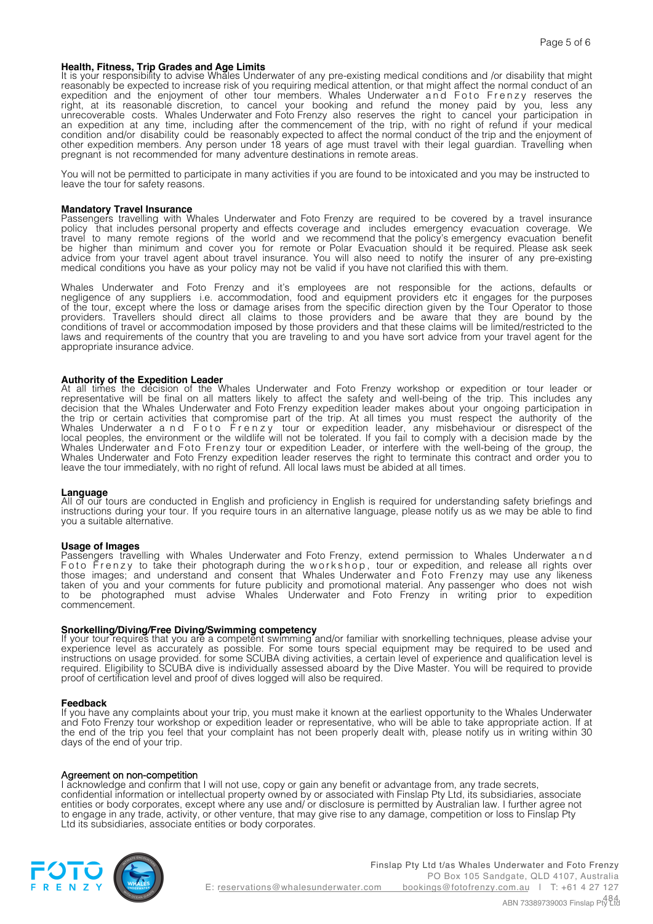### **Health, Fitness, Trip Grades and Age Limits**

It is your responsibility to advise Whales Underwater of any pre-existing medical conditions and /or disability that might reasonably be expected to increase risk of you requiring medical attention, or that might affect the normal conduct of an expedition and the enjoyment of other tour members. Whales Underwater and Foto Frenzy reserves the right, at its reasonable discretion, to cancel your booking and refund the money paid by you, less any unrecoverable costs. Whales Underwater and Foto Frenzy also reserves the right to cancel your participation in an expedition at any time, including after the commencement of the trip, with no right of refund if your medical condition and/or disability could be reasonably expected to affect the normal conduct of the trip and the enjoyment of other expedition members. Any person under 18 years of age must travel with their legal guardian. Travelling when pregnant is not recommended for many adventure destinations in remote areas.

You will not be permitted to participate in many activities if you are found to be intoxicated and you may be instructed to leave the tour for safety reasons.

#### **Mandatory Travel Insurance**

Passengers travelling with Whales Underwater and Foto Frenzy are required to be covered by a travel insurance policy that includes personal property and effects coverage and includes emergency evacuation coverage. We travel to many remote regions of the world and we recommend that the policy's emergency evacuation benefit be higher than minimum and cover you for remote or Polar Evacuation should it be required. Please ask seek advice from your travel agent about travel insurance. You will also need to notify the insurer of any pre-existing medical conditions you have as your policy may not be valid if you have not clarified this with them.

Whales Underwater and Foto Frenzy and it's employees are not responsible for the actions, defaults or negligence of any suppliers i.e. accommodation, food and equipment providers etc it engages for the purposes of the tour, except where the loss or damage arises from the specific direction given by the Tour Operator to those providers. Travellers should direct all claims to those providers and be aware that they are bound by the conditions of travel or accommodation imposed by those providers and that these claims will be limited/restricted to the laws and requirements of the country that you are traveling to and you have sort advice from your travel agent for the appropriate insurance advice.

**Authority of the Expedition Leader** At all times the decision of the Whales Underwater and Foto Frenzy workshop or expedition or tour leader or representative will be final on all matters likely to affect the safety and well-being of the trip. This includes any decision that the Whales Underwater and Foto Frenzy expedition leader makes about your ongoing participation in the trip or certain activities that compromise part of the trip. At all times you must respect the authority of the Whales Underwater a n d Foto Frenzy tour or expedition leader, any misbehaviour or disrespect of the local peoples, the environment or the wildlife will not be tolerated. If you fail to comply with a decision made by the Whales Underwater and Foto Frenzy tour or expedition Leader, or interfere with the well-being of the group, the Whales Underwater and Foto Frenzy expedition leader reserves the right to terminate this contract and order you to leave the tour immediately, with no right of refund. All local laws must be abided at all times.

#### **Language**

All of our tours are conducted in English and proficiency in English is required for understanding safety briefings and instructions during your tour. If you require tours in an alternative language, please notify us as we may be able to find you a suitable alternative.

**Usage of Images** Passengers travelling with Whales Underwater and Foto Frenzy, extend permission to Whales Underwater and Foto Frenzy to take their photograph during the workshop, tour or expedition, and release all rights over those images; and understand and consent that Whales Underwater and Foto Frenzy may use any likeness taken of you and your comments for future publicity and promotional material. Any passenger who does not wish to be photographed must advise Whales Underwater and Foto Frenzy in writing prior to expedition commencement.

**Snorkelling/Diving/Free Diving/Swimming competency** If your tour requires that you are a competent swimming and/or familiar with snorkelling techniques, please advise your experience level as accurately as possible. For some tours special equipment may be required to be used and instructions on usage provided. for some SCUBA diving activities, a certain level of experience and qualification level is required. Eligibility to SCUBA dive is individually assessed aboard by the Dive Master. You will be required to provide proof of certification level and proof of dives logged will also be required.

#### **Feedback**

If you have any complaints about your trip, you must make it known at the earliest opportunity to the Whales Underwater and Foto Frenzy tour workshop or expedition leader or representative, who will be able to take appropriate action. If at the end of the trip you feel that your complaint has not been properly dealt with, please notify us in writing within 30 days of the end of your trip.

#### Agreement on non-competition

I acknowledge and confirm that I will not use, copy or gain any benefit or advantage from, any trade secrets, confidential information or intellectual property owned by or associated with Finslap Pty Ltd, its subsidiaries, associate entities or body corporates, except where any use and/ or disclosure is permitted by Australian law. I further agree not to engage in any trade, activity, or other venture, that may give rise to any damage, competition or loss to Finslap Pty Ltd its subsidiaries, associate entities or body corporates.



Finslap Pty Ltd t/as Whales Underwater and Foto Frenzy PO Box 105 Sandgate, QLD 4107, Australia E: reservations@whalesunderwater.com bookings@fotofrenzy.com.au | T: +61 4 27 127